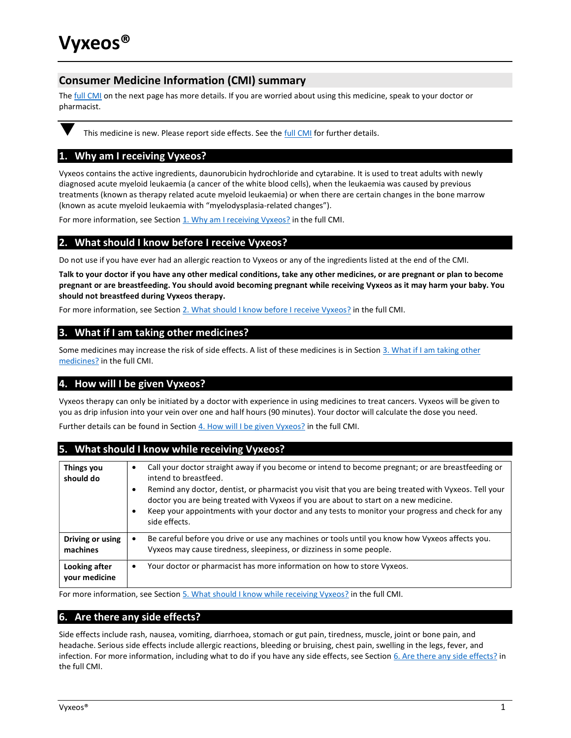# Consumer Medicine Information (CMI) summary

The full CMI on the next page has more details. If you are worried about using this medicine, speak to your doctor or pharmacist.



This medicine is new. Please report side effects. See the *full CMI* for further details.

# 1. Why am I receiving Vyxeos?

Vyxeos contains the active ingredients, daunorubicin hydrochloride and cytarabine. It is used to treat adults with newly diagnosed acute myeloid leukaemia (a cancer of the white blood cells), when the leukaemia was caused by previous treatments (known as therapy related acute myeloid leukaemia) or when there are certain changes in the bone marrow (known as acute myeloid leukaemia with "myelodysplasia-related changes").

For more information, see Section 1. Why am I receiving Vyxeos? in the full CMI.

# 2. What should I know before I receive Vyxeos?

Do not use if you have ever had an allergic reaction to Vyxeos or any of the ingredients listed at the end of the CMI.

Talk to your doctor if you have any other medical conditions, take any other medicines, or are pregnant or plan to become pregnant or are breastfeeding. You should avoid becoming pregnant while receiving Vyxeos as it may harm your baby. You should not breastfeed during Vyxeos therapy.

For more information, see Section 2. What should I know before I receive Vyxeos? in the full CMI.

# 3. What if I am taking other medicines?

Some medicines may increase the risk of side effects. A list of these medicines is in Section 3. What if I am taking other medicines? in the full CMI.

# 4. How will I be given Vyxeos?

Vyxeos therapy can only be initiated by a doctor with experience in using medicines to treat cancers. Vyxeos will be given to you as drip infusion into your vein over one and half hours (90 minutes). Your doctor will calculate the dose you need. Further details can be found in Section 4. How will I be given Vyxeos? in the full CMI.

# 5. What should I know while receiving Vyxeos?

| Things you<br>should do | Call your doctor straight away if you become or intend to become pregnant; or are breastfeeding or<br>intend to breastfeed.<br>Remind any doctor, dentist, or pharmacist you visit that you are being treated with Vyxeos. Tell your<br>٠<br>doctor you are being treated with Vyxeos if you are about to start on a new medicine.<br>Keep your appointments with your doctor and any tests to monitor your progress and check for any<br>٠<br>side effects. |  |
|-------------------------|--------------------------------------------------------------------------------------------------------------------------------------------------------------------------------------------------------------------------------------------------------------------------------------------------------------------------------------------------------------------------------------------------------------------------------------------------------------|--|
| Driving or using        | Be careful before you drive or use any machines or tools until you know how Vyxeos affects you.                                                                                                                                                                                                                                                                                                                                                              |  |
| machines                | Vyxeos may cause tiredness, sleepiness, or dizziness in some people.                                                                                                                                                                                                                                                                                                                                                                                         |  |
| Looking after           | Your doctor or pharmacist has more information on how to store Vyxeos.                                                                                                                                                                                                                                                                                                                                                                                       |  |
| vour medicine           | ٠                                                                                                                                                                                                                                                                                                                                                                                                                                                            |  |

For more information, see Section 5. What should I know while receiving Vyxeos? in the full CMI.

# 6. Are there any side effects?

Side effects include rash, nausea, vomiting, diarrhoea, stomach or gut pain, tiredness, muscle, joint or bone pain, and headache. Serious side effects include allergic reactions, bleeding or bruising, chest pain, swelling in the legs, fever, and infection. For more information, including what to do if you have any side effects, see Section 6. Are there any side effects? in the full CMI.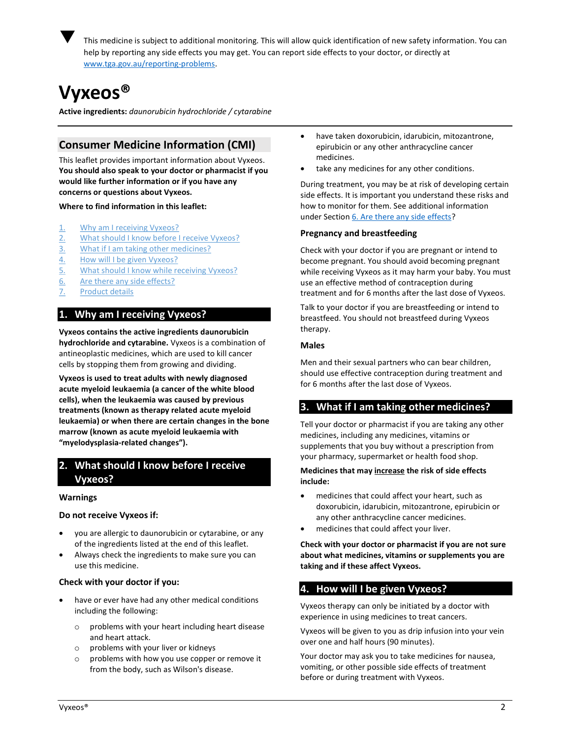

 This medicine is subject to additional monitoring. This will allow quick identification of new safety information. You can help by reporting any side effects you may get. You can report side effects to your doctor, or directly at www.tga.gov.au/reporting-problems.

# Vyxeos®

Active ingredients: daunorubicin hydrochloride / cytarabine

# Consumer Medicine Information (CMI)

This leaflet provides important information about Vyxeos. You should also speak to your doctor or pharmacist if you would like further information or if you have any concerns or questions about Vyxeos.

Where to find information in this leaflet:

- 1. Why am I receiving Vyxeos?
- 2. What should I know before I receive Vyxeos?
- 3. What if I am taking other medicines?
- 4. How will I be given Vyxeos?
- 5. What should I know while receiving Vyxeos?
- 6. Are there any side effects?
- 7. Product details

# 1. Why am I receiving Vyxeos?

Vyxeos contains the active ingredients daunorubicin hydrochloride and cytarabine. Vyxeos is a combination of antineoplastic medicines, which are used to kill cancer cells by stopping them from growing and dividing.

Vyxeos is used to treat adults with newly diagnosed acute myeloid leukaemia (a cancer of the white blood cells), when the leukaemia was caused by previous treatments (known as therapy related acute myeloid leukaemia) or when there are certain changes in the bone marrow (known as acute myeloid leukaemia with "myelodysplasia-related changes").

# 2. What should I know before I receive Vyxeos?

## Warnings

## Do not receive Vyxeos if:

- you are allergic to daunorubicin or cytarabine, or any of the ingredients listed at the end of this leaflet.
- Always check the ingredients to make sure you can use this medicine.

## Check with your doctor if you:

- have or ever have had any other medical conditions including the following:
	- o problems with your heart including heart disease and heart attack.
	- o problems with your liver or kidneys
	- o problems with how you use copper or remove it from the body, such as Wilson's disease.
- have taken doxorubicin, idarubicin, mitozantrone, epirubicin or any other anthracycline cancer medicines.
- take any medicines for any other conditions.

During treatment, you may be at risk of developing certain side effects. It is important you understand these risks and how to monitor for them. See additional information under Section 6. Are there any side effects?

## Pregnancy and breastfeeding

Check with your doctor if you are pregnant or intend to become pregnant. You should avoid becoming pregnant while receiving Vyxeos as it may harm your baby. You must use an effective method of contraception during treatment and for 6 months after the last dose of Vyxeos.

Talk to your doctor if you are breastfeeding or intend to breastfeed. You should not breastfeed during Vyxeos therapy.

## Males

Men and their sexual partners who can bear children, should use effective contraception during treatment and for 6 months after the last dose of Vyxeos.

# 3. What if I am taking other medicines?

Tell your doctor or pharmacist if you are taking any other medicines, including any medicines, vitamins or supplements that you buy without a prescription from your pharmacy, supermarket or health food shop.

## Medicines that may increase the risk of side effects include:

- medicines that could affect your heart, such as doxorubicin, idarubicin, mitozantrone, epirubicin or any other anthracycline cancer medicines.
- medicines that could affect your liver.

Check with your doctor or pharmacist if you are not sure about what medicines, vitamins or supplements you are taking and if these affect Vyxeos.

# 4. How will I be given Vyxeos?

Vyxeos therapy can only be initiated by a doctor with experience in using medicines to treat cancers.

Vyxeos will be given to you as drip infusion into your vein over one and half hours (90 minutes).

Your doctor may ask you to take medicines for nausea, vomiting, or other possible side effects of treatment before or during treatment with Vyxeos.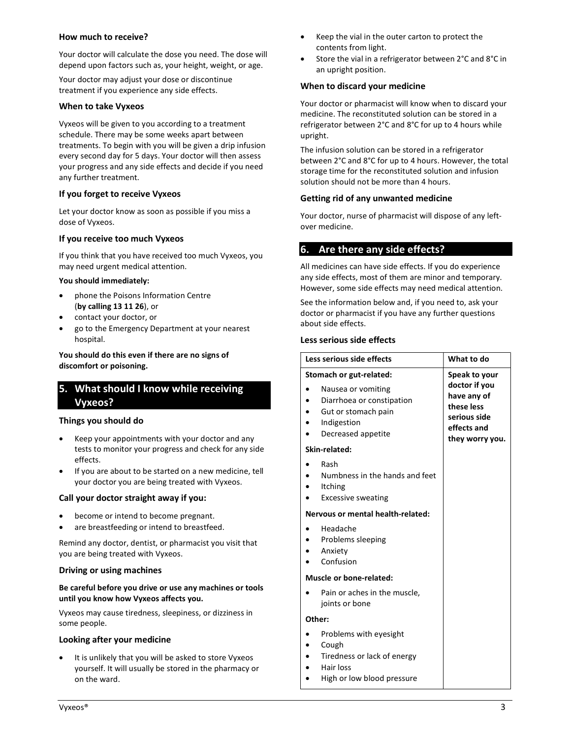## How much to receive?

Your doctor will calculate the dose you need. The dose will depend upon factors such as, your height, weight, or age.

Your doctor may adjust your dose or discontinue treatment if you experience any side effects.

## When to take Vyxeos

Vyxeos will be given to you according to a treatment schedule. There may be some weeks apart between treatments. To begin with you will be given a drip infusion every second day for 5 days. Your doctor will then assess your progress and any side effects and decide if you need any further treatment.

## If you forget to receive Vyxeos

Let your doctor know as soon as possible if you miss a dose of Vyxeos.

## If you receive too much Vyxeos

If you think that you have received too much Vyxeos, you may need urgent medical attention.

## You should immediately:

- phone the Poisons Information Centre (by calling 13 11 26), or
- contact your doctor, or
- go to the Emergency Department at your nearest hospital.

## You should do this even if there are no signs of discomfort or poisoning.

# 5. What should I know while receiving Vyxeos?

## Things you should do

- Keep your appointments with your doctor and any tests to monitor your progress and check for any side effects.
- If you are about to be started on a new medicine, tell your doctor you are being treated with Vyxeos.

## Call your doctor straight away if you:

- become or intend to become pregnant.
- are breastfeeding or intend to breastfeed.

Remind any doctor, dentist, or pharmacist you visit that you are being treated with Vyxeos.

## Driving or using machines

## Be careful before you drive or use any machines or tools until you know how Vyxeos affects you.

Vyxeos may cause tiredness, sleepiness, or dizziness in some people.

## Looking after your medicine

 It is unlikely that you will be asked to store Vyxeos yourself. It will usually be stored in the pharmacy or on the ward.

- Keep the vial in the outer carton to protect the contents from light.
- Store the vial in a refrigerator between 2°C and 8°C in an upright position.

## When to discard your medicine

Your doctor or pharmacist will know when to discard your medicine. The reconstituted solution can be stored in a refrigerator between 2°C and 8°C for up to 4 hours while upright.

The infusion solution can be stored in a refrigerator between 2°C and 8°C for up to 4 hours. However, the total storage time for the reconstituted solution and infusion solution should not be more than 4 hours.

## Getting rid of any unwanted medicine

Your doctor, nurse of pharmacist will dispose of any leftover medicine.

# 6. Are there any side effects?

All medicines can have side effects. If you do experience any side effects, most of them are minor and temporary. However, some side effects may need medical attention.

See the information below and, if you need to, ask your doctor or pharmacist if you have any further questions about side effects.

## Less serious side effects

| Less serious side effects         |                                                                                                             | What to do                                                                                   |  |  |
|-----------------------------------|-------------------------------------------------------------------------------------------------------------|----------------------------------------------------------------------------------------------|--|--|
| Stomach or gut-related:           |                                                                                                             | Speak to your                                                                                |  |  |
|                                   | Nausea or vomiting<br>Diarrhoea or constipation<br>Gut or stomach pain<br>Indigestion<br>Decreased appetite | doctor if you<br>have any of<br>these less<br>serious side<br>effects and<br>they worry you. |  |  |
| Skin-related:                     |                                                                                                             |                                                                                              |  |  |
|                                   | Rash<br>Numbness in the hands and feet<br><b>Itching</b><br><b>Excessive sweating</b>                       |                                                                                              |  |  |
| Nervous or mental health-related: |                                                                                                             |                                                                                              |  |  |
|                                   | Headache<br>Problems sleeping<br>Anxiety<br>Confusion                                                       |                                                                                              |  |  |
| Muscle or bone-related:           |                                                                                                             |                                                                                              |  |  |
|                                   | Pain or aches in the muscle,<br>joints or bone                                                              |                                                                                              |  |  |
| Other:                            |                                                                                                             |                                                                                              |  |  |
|                                   | Problems with eyesight<br>Cough<br>Tiredness or lack of energy<br>Hair loss                                 |                                                                                              |  |  |

High or low blood pressure